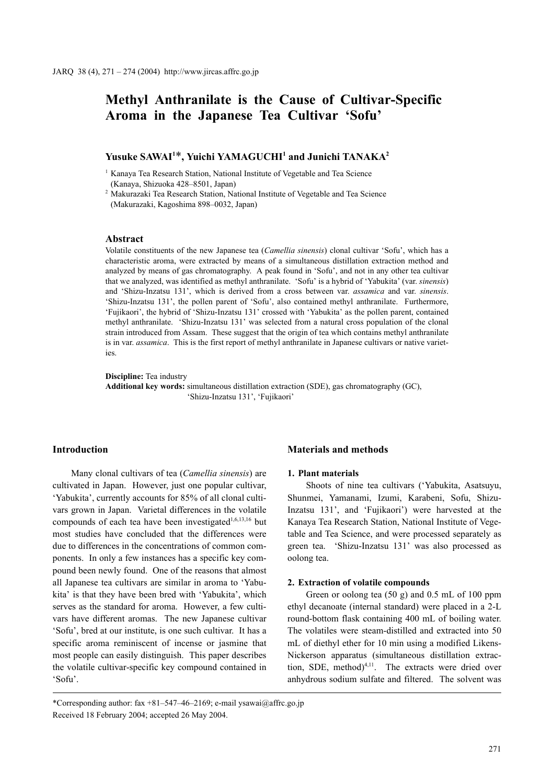# **Methyl Anthranilate is the Cause of Cultivar-Specific Aroma in the Japanese Tea Cultivar 'Sofu'**

## **Yusuke SAWAI1** \***, Yuichi YAMAGUCHI1 and Junichi TANAKA2**

<sup>1</sup> Kanaya Tea Research Station, National Institute of Vegetable and Tea Science (Kanaya, Shizuoka 428–8501, Japan)

<sup>2</sup> Makurazaki Tea Research Station, National Institute of Vegetable and Tea Science (Makurazaki, Kagoshima 898–0032, Japan)

## **Abstract**

Volatile constituents of the new Japanese tea (*Camellia sinensis*) clonal cultivar 'Sofu', which has a characteristic aroma, were extracted by means of a simultaneous distillation extraction method and analyzed by means of gas chromatography. A peak found in 'Sofu', and not in any other tea cultivar that we analyzed, was identified as methyl anthranilate. 'Sofu' is a hybrid of 'Yabukita' (var. *sinensis*) and 'Shizu-Inzatsu 131', which is derived from a cross between var. *assamica* and var. *sinensis*. 'Shizu-Inzatsu 131', the pollen parent of 'Sofu', also contained methyl anthranilate. Furthermore, 'Fujikaori', the hybrid of 'Shizu-Inzatsu 131' crossed with 'Yabukita' as the pollen parent, contained methyl anthranilate. 'Shizu-Inzatsu 131' was selected from a natural cross population of the clonal strain introduced from Assam. These suggest that the origin of tea which contains methyl anthranilate is in var. *assamica*. This is the first report of methyl anthranilate in Japanese cultivars or native varieties.

**Discipline:** Tea industry

**Additional key words:** simultaneous distillation extraction (SDE), gas chromatography (GC), 'Shizu-Inzatsu 131', 'Fujikaori'

#### **Introduction**

Many clonal cultivars of tea (*Camellia sinensis*) are cultivated in Japan. However, just one popular cultivar, 'Yabukita', currently accounts for 85% of all clonal cultivars grown in Japan. Varietal differences in the volatile compounds of each tea have been investigated<sup>1,6,13,16</sup> but most studies have concluded that the differences were due to differences in the concentrations of common components. In only a few instances has a specific key compound been newly found. One of the reasons that almost all Japanese tea cultivars are similar in aroma to 'Yabukita' is that they have been bred with 'Yabukita', which serves as the standard for aroma. However, a few cultivars have different aromas. The new Japanese cultivar 'Sofu', bred at our institute, is one such cultivar. It has a specific aroma reminiscent of incense or jasmine that most people can easily distinguish. This paper describes the volatile cultivar-specific key compound contained in 'Sofu'.

## **Materials and methods**

#### **1. Plant materials**

Shoots of nine tea cultivars ('Yabukita, Asatsuyu, Shunmei, Yamanami, Izumi, Karabeni, Sofu, Shizu-Inzatsu 131', and 'Fujikaori') were harvested at the Kanaya Tea Research Station, National Institute of Vegetable and Tea Science, and were processed separately as green tea. 'Shizu-Inzatsu 131' was also processed as oolong tea.

#### **2. Extraction of volatile compounds**

Green or oolong tea (50 g) and 0.5 mL of 100 ppm ethyl decanoate (internal standard) were placed in a 2-L round-bottom flask containing 400 mL of boiling water. The volatiles were steam-distilled and extracted into 50 mL of diethyl ether for 10 min using a modified Likens-Nickerson apparatus (simultaneous distillation extraction, SDE, method) $4,11$ . The extracts were dried over anhydrous sodium sulfate and filtered. The solvent was

<sup>\*</sup>Corresponding author: fax +81–547–46–2169; e-mail ysawai@affrc.go.jp Received 18 February 2004; accepted 26 May 2004.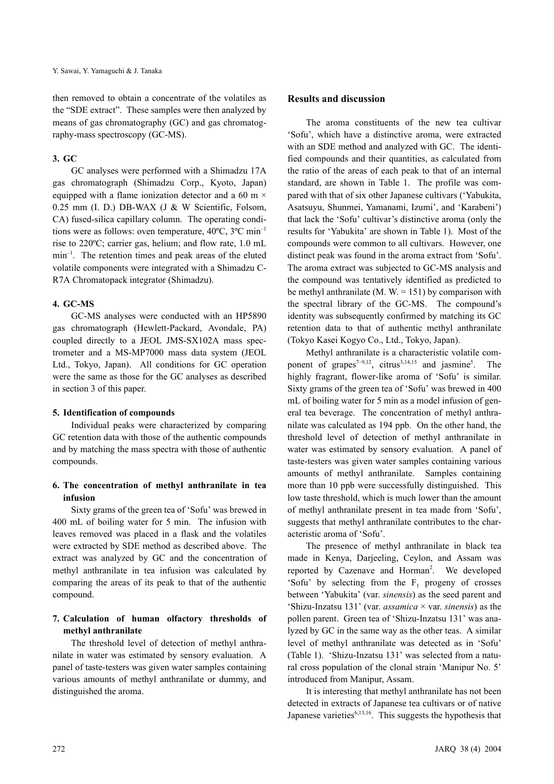then removed to obtain a concentrate of the volatiles as the "SDE extract". These samples were then analyzed by means of gas chromatography (GC) and gas chromatography-mass spectroscopy (GC-MS).

## **3. GC**

GC analyses were performed with a Shimadzu 17A gas chromatograph (Shimadzu Corp., Kyoto, Japan) equipped with a flame ionization detector and a 60 m  $\times$ 0.25 mm (I. D.) DB-WAX (J & W Scientific, Folsom, CA) fused-silica capillary column. The operating conditions were as follows: oven temperature, 40ºC, 3ºC min–1 rise to 220ºC; carrier gas, helium; and flow rate, 1.0 mL min<sup>-1</sup>. The retention times and peak areas of the eluted volatile components were integrated with a Shimadzu C-R7A Chromatopack integrator (Shimadzu).

## **4. GC-MS**

GC-MS analyses were conducted with an HP5890 gas chromatograph (Hewlett-Packard, Avondale, PA) coupled directly to a JEOL JMS-SX102A mass spectrometer and a MS-MP7000 mass data system (JEOL Ltd., Tokyo, Japan). All conditions for GC operation were the same as those for the GC analyses as described in section 3 of this paper.

#### **5. Identification of compounds**

Individual peaks were characterized by comparing GC retention data with those of the authentic compounds and by matching the mass spectra with those of authentic compounds.

## **6. The concentration of methyl anthranilate in tea infusion**

Sixty grams of the green tea of 'Sofu' was brewed in 400 mL of boiling water for 5 min. The infusion with leaves removed was placed in a flask and the volatiles were extracted by SDE method as described above. The extract was analyzed by GC and the concentration of methyl anthranilate in tea infusion was calculated by comparing the areas of its peak to that of the authentic compound.

## **7. Calculation of human olfactory thresholds of methyl anthranilate**

The threshold level of detection of methyl anthranilate in water was estimated by sensory evaluation. A panel of taste-testers was given water samples containing various amounts of methyl anthranilate or dummy, and distinguished the aroma.

#### **Results and discussion**

The aroma constituents of the new tea cultivar 'Sofu', which have a distinctive aroma, were extracted with an SDE method and analyzed with GC. The identified compounds and their quantities, as calculated from the ratio of the areas of each peak to that of an internal standard, are shown in Table 1. The profile was compared with that of six other Japanese cultivars ('Yabukita, Asatsuyu, Shunmei, Yamanami, Izumi', and 'Karabeni') that lack the 'Sofu' cultivar's distinctive aroma (only the results for 'Yabukita' are shown in Table 1). Most of the compounds were common to all cultivars. However, one distinct peak was found in the aroma extract from 'Sofu'. The aroma extract was subjected to GC-MS analysis and the compound was tentatively identified as predicted to be methyl anthranilate (M.  $W = 151$ ) by comparison with the spectral library of the GC-MS. The compound's identity was subsequently confirmed by matching its GC retention data to that of authentic methyl anthranilate (Tokyo Kasei Kogyo Co., Ltd., Tokyo, Japan).

Methyl anthranilate is a characteristic volatile component of grapes<sup> $7-9,12$ </sup>, citrus<sup>3,14,15</sup> and jasmine<sup>5</sup>. The highly fragrant, flower-like aroma of 'Sofu' is similar. Sixty grams of the green tea of 'Sofu' was brewed in 400 mL of boiling water for 5 min as a model infusion of general tea beverage. The concentration of methyl anthranilate was calculated as 194 ppb. On the other hand, the threshold level of detection of methyl anthranilate in water was estimated by sensory evaluation. A panel of taste-testers was given water samples containing various amounts of methyl anthranilate. Samples containing more than 10 ppb were successfully distinguished. This low taste threshold, which is much lower than the amount of methyl anthranilate present in tea made from 'Sofu', suggests that methyl anthranilate contributes to the characteristic aroma of 'Sofu'.

The presence of methyl anthranilate in black tea made in Kenya, Darjeeling, Ceylon, and Assam was reported by Cazenave and Horman<sup>2</sup>. We developed 'Sofu' by selecting from the  $F_1$  progeny of crosses between 'Yabukita' (var. *sinensis*) as the seed parent and 'Shizu-Inzatsu 131' (var. *assamica* × var. *sinensis*) as the pollen parent. Green tea of 'Shizu-Inzatsu 131' was analyzed by GC in the same way as the other teas. A similar level of methyl anthranilate was detected as in 'Sofu' (Table 1). 'Shizu-Inzatsu 131' was selected from a natural cross population of the clonal strain 'Manipur No. 5' introduced from Manipur, Assam.

It is interesting that methyl anthranilate has not been detected in extracts of Japanese tea cultivars or of native Japanese varieties $6,13,16$ . This suggests the hypothesis that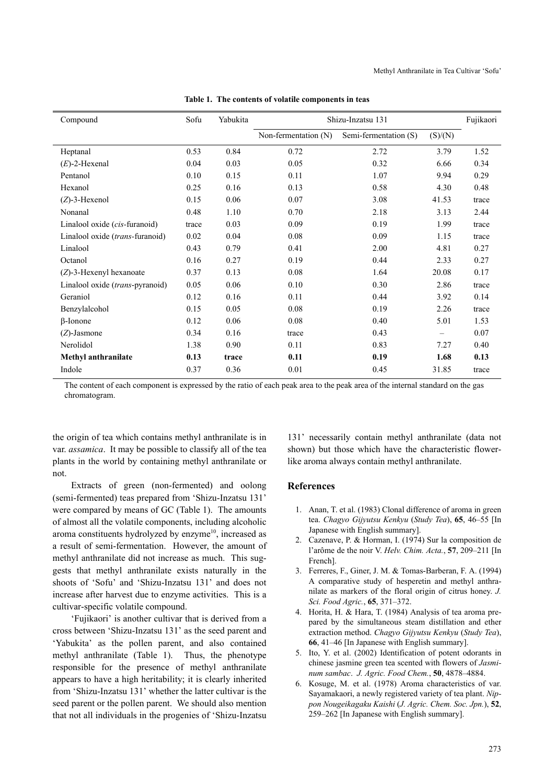| Compound                        | Sofu  | Yabukita | Shizu-Inzatsu 131    |                       |                          | Fujikaori |
|---------------------------------|-------|----------|----------------------|-----------------------|--------------------------|-----------|
|                                 |       |          | Non-fermentation (N) | Semi-fermentation (S) | (S)/(N)                  |           |
| Heptanal                        | 0.53  | 0.84     | 0.72                 | 2.72                  | 3.79                     | 1.52      |
| $(E)$ -2-Hexenal                | 0.04  | 0.03     | 0.05                 | 0.32                  | 6.66                     | 0.34      |
| Pentanol                        | 0.10  | 0.15     | 0.11                 | 1.07                  | 9.94                     | 0.29      |
| Hexanol                         | 0.25  | 0.16     | 0.13                 | 0.58                  | 4.30                     | 0.48      |
| $(Z)$ -3-Hexenol                | 0.15  | 0.06     | 0.07                 | 3.08                  | 41.53                    | trace     |
| Nonanal                         | 0.48  | 1.10     | 0.70                 | 2.18                  | 3.13                     | 2.44      |
| Linalool oxide (cis-furanoid)   | trace | 0.03     | 0.09                 | 0.19                  | 1.99                     | trace     |
| Linalool oxide (trans-furanoid) | 0.02  | 0.04     | 0.08                 | 0.09                  | 1.15                     | trace     |
| Linalool                        | 0.43  | 0.79     | 0.41                 | 2.00                  | 4.81                     | 0.27      |
| Octanol                         | 0.16  | 0.27     | 0.19                 | 0.44                  | 2.33                     | 0.27      |
| $(Z)$ -3-Hexenyl hexanoate      | 0.37  | 0.13     | 0.08                 | 1.64                  | 20.08                    | 0.17      |
| Linalool oxide (trans-pyranoid) | 0.05  | 0.06     | 0.10                 | 0.30                  | 2.86                     | trace     |
| Geraniol                        | 0.12  | 0.16     | 0.11                 | 0.44                  | 3.92                     | 0.14      |
| Benzylalcohol                   | 0.15  | 0.05     | 0.08                 | 0.19                  | 2.26                     | trace     |
| $\beta$ -Ionone                 | 0.12  | 0.06     | 0.08                 | 0.40                  | 5.01                     | 1.53      |
| $(Z)$ -Jasmone                  | 0.34  | 0.16     | trace                | 0.43                  | $\overline{\phantom{m}}$ | 0.07      |
| Nerolidol                       | 1.38  | 0.90     | 0.11                 | 0.83                  | 7.27                     | 0.40      |
| <b>Methyl anthranilate</b>      | 0.13  | trace    | 0.11                 | 0.19                  | 1.68                     | 0.13      |
| Indole                          | 0.37  | 0.36     | 0.01                 | 0.45                  | 31.85                    | trace     |

**Table 1. The contents of volatile components in teas**

The content of each component is expressed by the ratio of each peak area to the peak area of the internal standard on the gas chromatogram.

the origin of tea which contains methyl anthranilate is in var. *assamica*. It may be possible to classify all of the tea plants in the world by containing methyl anthranilate or not.

Extracts of green (non-fermented) and oolong (semi-fermented) teas prepared from 'Shizu-Inzatsu 131' were compared by means of GC (Table 1). The amounts of almost all the volatile components, including alcoholic aroma constituents hydrolyzed by enzyme $10$ , increased as a result of semi-fermentation. However, the amount of methyl anthranilate did not increase as much. This suggests that methyl anthranilate exists naturally in the shoots of 'Sofu' and 'Shizu-Inzatsu 131' and does not increase after harvest due to enzyme activities. This is a cultivar-specific volatile compound.

'Fujikaori' is another cultivar that is derived from a cross between 'Shizu-Inzatsu 131' as the seed parent and 'Yabukita' as the pollen parent, and also contained methyl anthranilate (Table 1). Thus, the phenotype responsible for the presence of methyl anthranilate appears to have a high heritability; it is clearly inherited from 'Shizu-Inzatsu 131' whether the latter cultivar is the seed parent or the pollen parent. We should also mention that not all individuals in the progenies of 'Shizu-Inzatsu

131' necessarily contain methyl anthranilate (data not shown) but those which have the characteristic flowerlike aroma always contain methyl anthranilate.

#### **References**

- 1. Anan, T. et al. (1983) Clonal difference of aroma in green tea. *Chagyo Gijyutsu Kenkyu* (*Study Tea*), **65**, 46–55 [In Japanese with English summary].
- 2. Cazenave, P. & Horman, I. (1974) Sur la composition de l'arôme de the noir V. *Helv. Chim. Acta.*, **57**, 209–211 [In French].
- 3. Ferreres, F., Giner, J. M. & Tomas-Barberan, F. A. (1994) A comparative study of hesperetin and methyl anthranilate as markers of the floral origin of citrus honey. *J. Sci. Food Agric.*, **65**, 371–372.
- 4. Horita, H. & Hara, T. (1984) Analysis of tea aroma prepared by the simultaneous steam distillation and ether extraction method. *Chagyo Gijyutsu Kenkyu* (*Study Tea*), **66**, 41–46 [In Japanese with English summary].
- 5. Ito, Y. et al. (2002) Identification of potent odorants in chinese jasmine green tea scented with flowers of *Jasminum sambac*. *J. Agric. Food Chem.*, **50**, 4878–4884.
- 6. Kosuge, M. et al. (1978) Aroma characteristics of var. Sayamakaori, a newly registered variety of tea plant. *Nippon Nougeikagaku Kaishi* (*J. Agric. Chem. Soc. Jpn.*), **52**, 259–262 [In Japanese with English summary].